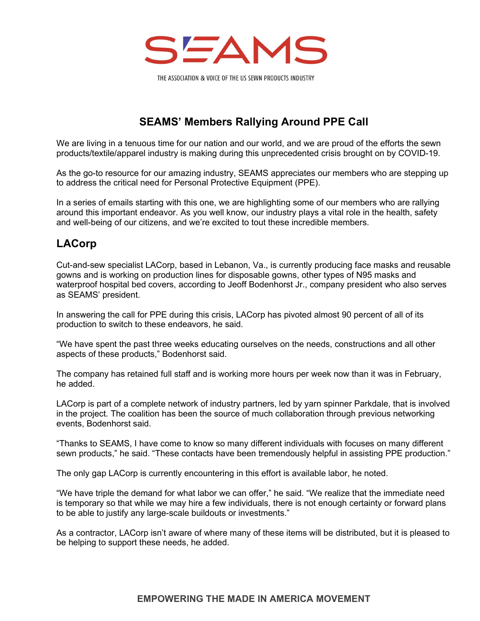

THE ASSOCIATION & VOICE OF THE US SEWN PRODUCTS INDUSTRY

## SEAMS' Members Rallying Around PPE Call

We are living in a tenuous time for our nation and our world, and we are proud of the efforts the sewn products/textile/apparel industry is making during this unprecedented crisis brought on by COVID-19.

As the go-to resource for our amazing industry, SEAMS appreciates our members who are stepping up to address the critical need for Personal Protective Equipment (PPE).

In a series of emails starting with this one, we are highlighting some of our members who are rallying around this important endeavor. As you well know, our industry plays a vital role in the health, safety and well-being of our citizens, and we're excited to tout these incredible members.

## LACorp

Cut-and-sew specialist LACorp, based in Lebanon, Va., is currently producing face masks and reusable gowns and is working on production lines for disposable gowns, other types of N95 masks and waterproof hospital bed covers, according to Jeoff Bodenhorst Jr., company president who also serves as SEAMS' president.

In answering the call for PPE during this crisis, LACorp has pivoted almost 90 percent of all of its production to switch to these endeavors, he said.

"We have spent the past three weeks educating ourselves on the needs, constructions and all other aspects of these products," Bodenhorst said.

The company has retained full staff and is working more hours per week now than it was in February, he added.

LACorp is part of a complete network of industry partners, led by yarn spinner Parkdale, that is involved in the project. The coalition has been the source of much collaboration through previous networking events, Bodenhorst said.

"Thanks to SEAMS, I have come to know so many different individuals with focuses on many different sewn products," he said. "These contacts have been tremendously helpful in assisting PPE production."

The only gap LACorp is currently encountering in this effort is available labor, he noted.

"We have triple the demand for what labor we can offer," he said. "We realize that the immediate need is temporary so that while we may hire a few individuals, there is not enough certainty or forward plans to be able to justify any large-scale buildouts or investments."

As a contractor, LACorp isn't aware of where many of these items will be distributed, but it is pleased to be helping to support these needs, he added.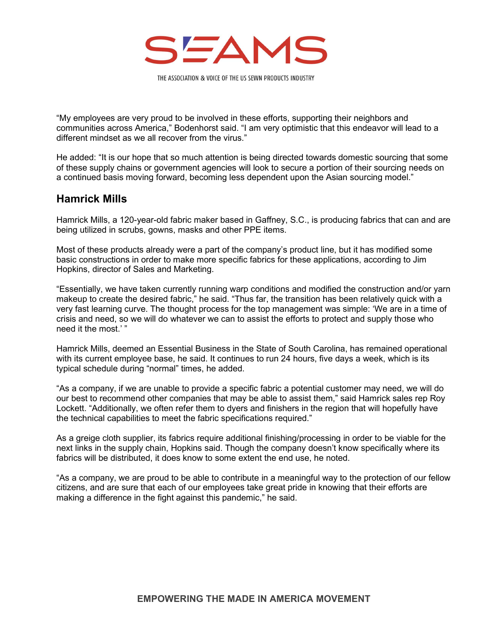

THE ASSOCIATION & VOICE OF THE US SEWN PRODUCTS INDUSTRY

"My employees are very proud to be involved in these efforts, supporting their neighbors and communities across America," Bodenhorst said. "I am very optimistic that this endeavor will lead to a different mindset as we all recover from the virus."

He added: "It is our hope that so much attention is being directed towards domestic sourcing that some of these supply chains or government agencies will look to secure a portion of their sourcing needs on a continued basis moving forward, becoming less dependent upon the Asian sourcing model."

## Hamrick Mills

Hamrick Mills, a 120-year-old fabric maker based in Gaffney, S.C., is producing fabrics that can and are being utilized in scrubs, gowns, masks and other PPE items.

Most of these products already were a part of the company's product line, but it has modified some basic constructions in order to make more specific fabrics for these applications, according to Jim Hopkins, director of Sales and Marketing.

"Essentially, we have taken currently running warp conditions and modified the construction and/or yarn makeup to create the desired fabric," he said. "Thus far, the transition has been relatively quick with a very fast learning curve. The thought process for the top management was simple: 'We are in a time of crisis and need, so we will do whatever we can to assist the efforts to protect and supply those who need it the most.'"

Hamrick Mills, deemed an Essential Business in the State of South Carolina, has remained operational with its current employee base, he said. It continues to run 24 hours, five days a week, which is its typical schedule during "normal" times, he added.

"As a company, if we are unable to provide a specific fabric a potential customer may need, we will do our best to recommend other companies that may be able to assist them," said Hamrick sales rep Roy Lockett. "Additionally, we often refer them to dyers and finishers in the region that will hopefully have the technical capabilities to meet the fabric specifications required."

As a greige cloth supplier, its fabrics require additional finishing/processing in order to be viable for the next links in the supply chain, Hopkins said. Though the company doesn't know specifically where its fabrics will be distributed, it does know to some extent the end use, he noted.

"As a company, we are proud to be able to contribute in a meaningful way to the protection of our fellow citizens, and are sure that each of our employees take great pride in knowing that their efforts are making a difference in the fight against this pandemic," he said.